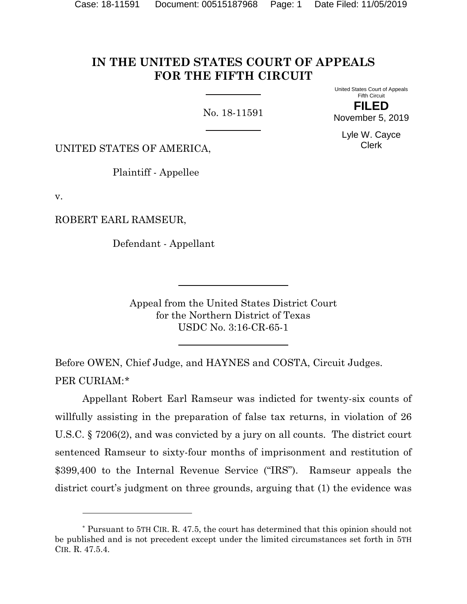# **IN THE UNITED STATES COURT OF APPEALS FOR THE FIFTH CIRCUIT**

No. 18-11591

United States Court of Appeals Fifth Circuit **FILED**

November 5, 2019 Lyle W. Cayce

Clerk

UNITED STATES OF AMERICA,

Plaintiff - Appellee

v.

l

ROBERT EARL RAMSEUR,

Defendant - Appellant

Appeal from the United States District Court for the Northern District of Texas USDC No. 3:16-CR-65-1

Before OWEN, Chief Judge, and HAYNES and COSTA, Circuit Judges. PER CURIAM:[\\*](#page-0-0)

Appellant Robert Earl Ramseur was indicted for twenty-six counts of willfully assisting in the preparation of false tax returns, in violation of 26 U.S.C. § 7206(2), and was convicted by a jury on all counts. The district court sentenced Ramseur to sixty-four months of imprisonment and restitution of \$399,400 to the Internal Revenue Service ("IRS"). Ramseur appeals the district court's judgment on three grounds, arguing that (1) the evidence was

<span id="page-0-0"></span><sup>\*</sup> Pursuant to 5TH CIR. R. 47.5, the court has determined that this opinion should not be published and is not precedent except under the limited circumstances set forth in 5TH CIR. R. 47.5.4.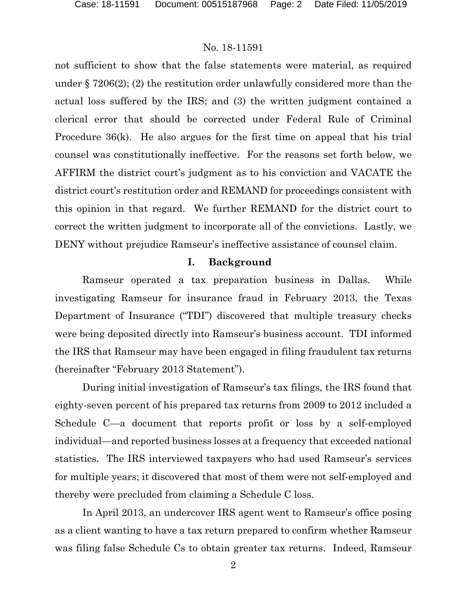not sufficient to show that the false statements were material, as required under § 7206(2); (2) the restitution order unlawfully considered more than the actual loss suffered by the IRS; and (3) the written judgment contained a clerical error that should be corrected under Federal Rule of Criminal Procedure 36(k). He also argues for the first time on appeal that his trial counsel was constitutionally ineffective. For the reasons set forth below, we AFFIRM the district court's judgment as to his conviction and VACATE the district court's restitution order and REMAND for proceedings consistent with this opinion in that regard. We further REMAND for the district court to correct the written judgment to incorporate all of the convictions. Lastly, we DENY without prejudice Ramseur's ineffective assistance of counsel claim.

#### **I. Background**

Ramseur operated a tax preparation business in Dallas. While investigating Ramseur for insurance fraud in February 2013, the Texas Department of Insurance ("TDI") discovered that multiple treasury checks were being deposited directly into Ramseur's business account. TDI informed the IRS that Ramseur may have been engaged in filing fraudulent tax returns (hereinafter "February 2013 Statement").

During initial investigation of Ramseur's tax filings, the IRS found that eighty-seven percent of his prepared tax returns from 2009 to 2012 included a Schedule C—a document that reports profit or loss by a self-employed individual—and reported business losses at a frequency that exceeded national statistics. The IRS interviewed taxpayers who had used Ramseur's services for multiple years; it discovered that most of them were not self-employed and thereby were precluded from claiming a Schedule C loss.

In April 2013, an undercover IRS agent went to Ramseur's office posing as a client wanting to have a tax return prepared to confirm whether Ramseur was filing false Schedule Cs to obtain greater tax returns. Indeed, Ramseur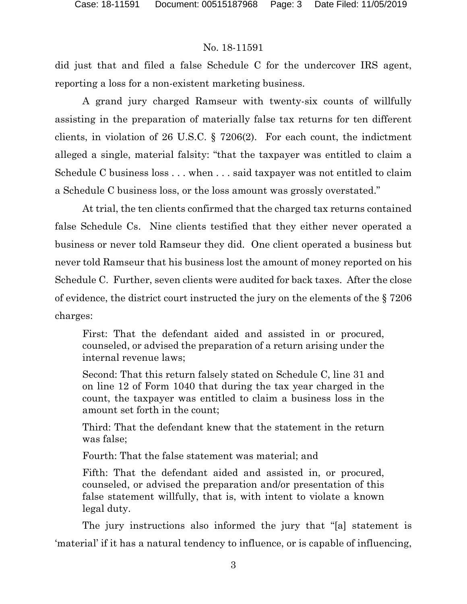did just that and filed a false Schedule C for the undercover IRS agent, reporting a loss for a non-existent marketing business.

A grand jury charged Ramseur with twenty-six counts of willfully assisting in the preparation of materially false tax returns for ten different clients, in violation of 26 U.S.C. § 7206(2). For each count, the indictment alleged a single, material falsity: "that the taxpayer was entitled to claim a Schedule C business loss . . . when . . . said taxpayer was not entitled to claim a Schedule C business loss, or the loss amount was grossly overstated."

At trial, the ten clients confirmed that the charged tax returns contained false Schedule Cs. Nine clients testified that they either never operated a business or never told Ramseur they did. One client operated a business but never told Ramseur that his business lost the amount of money reported on his Schedule C. Further, seven clients were audited for back taxes. After the close of evidence, the district court instructed the jury on the elements of the § 7206 charges:

First: That the defendant aided and assisted in or procured, counseled, or advised the preparation of a return arising under the internal revenue laws;

Second: That this return falsely stated on Schedule C, line 31 and on line 12 of Form 1040 that during the tax year charged in the count, the taxpayer was entitled to claim a business loss in the amount set forth in the count;

Third: That the defendant knew that the statement in the return was false;

Fourth: That the false statement was material; and

Fifth: That the defendant aided and assisted in, or procured, counseled, or advised the preparation and/or presentation of this false statement willfully, that is, with intent to violate a known legal duty.

The jury instructions also informed the jury that "[a] statement is 'material' if it has a natural tendency to influence, or is capable of influencing,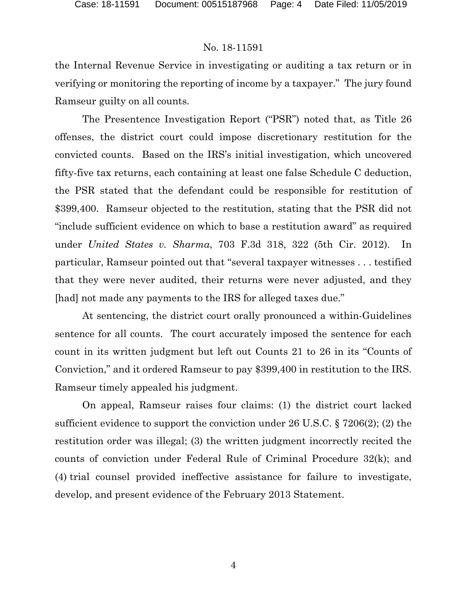the Internal Revenue Service in investigating or auditing a tax return or in verifying or monitoring the reporting of income by a taxpayer." The jury found Ramseur guilty on all counts.

The Presentence Investigation Report ("PSR") noted that, as Title 26 offenses, the district court could impose discretionary restitution for the convicted counts. Based on the IRS's initial investigation, which uncovered fifty-five tax returns, each containing at least one false Schedule C deduction, the PSR stated that the defendant could be responsible for restitution of \$399,400. Ramseur objected to the restitution, stating that the PSR did not "include sufficient evidence on which to base a restitution award" as required under *United States v. Sharma*, 703 F.3d 318, 322 (5th Cir. 2012). In particular, Ramseur pointed out that "several taxpayer witnesses . . . testified that they were never audited, their returns were never adjusted, and they [had] not made any payments to the IRS for alleged taxes due."

At sentencing, the district court orally pronounced a within-Guidelines sentence for all counts. The court accurately imposed the sentence for each count in its written judgment but left out Counts 21 to 26 in its "Counts of Conviction," and it ordered Ramseur to pay \$399,400 in restitution to the IRS. Ramseur timely appealed his judgment.

On appeal, Ramseur raises four claims: (1) the district court lacked sufficient evidence to support the conviction under 26 U.S.C. § 7206(2); (2) the restitution order was illegal; (3) the written judgment incorrectly recited the counts of conviction under Federal Rule of Criminal Procedure 32(k); and (4) trial counsel provided ineffective assistance for failure to investigate, develop, and present evidence of the February 2013 Statement.

4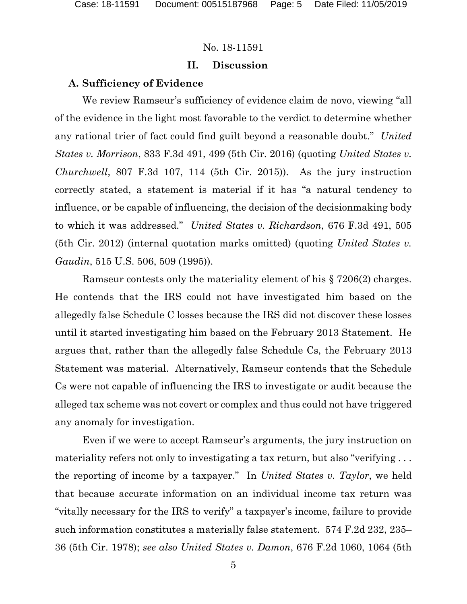### **II. Discussion**

#### **A. Sufficiency of Evidence**

We review Ramseur's sufficiency of evidence claim de novo, viewing "all of the evidence in the light most favorable to the verdict to determine whether any rational trier of fact could find guilt beyond a reasonable doubt." *United States v. Morrison*, 833 F.3d 491, 499 (5th Cir. 2016) (quoting *United States v. Churchwell*, 807 F.3d 107, 114 (5th Cir. 2015)). As the jury instruction correctly stated, a statement is material if it has "a natural tendency to influence, or be capable of influencing, the decision of the decisionmaking body to which it was addressed." *United States v. Richardson*, 676 F.3d 491, 505 (5th Cir. 2012) (internal quotation marks omitted) (quoting *United States v. Gaudin*, 515 U.S. 506, 509 (1995)).

Ramseur contests only the materiality element of his § 7206(2) charges. He contends that the IRS could not have investigated him based on the allegedly false Schedule C losses because the IRS did not discover these losses until it started investigating him based on the February 2013 Statement. He argues that, rather than the allegedly false Schedule Cs, the February 2013 Statement was material. Alternatively, Ramseur contends that the Schedule Cs were not capable of influencing the IRS to investigate or audit because the alleged tax scheme was not covert or complex and thus could not have triggered any anomaly for investigation.

Even if we were to accept Ramseur's arguments, the jury instruction on materiality refers not only to investigating a tax return, but also "verifying ... the reporting of income by a taxpayer." In *United States v. Taylor*, we held that because accurate information on an individual income tax return was "vitally necessary for the IRS to verify" a taxpayer's income, failure to provide such information constitutes a materially false statement. 574 F.2d 232, 235– 36 (5th Cir. 1978); *see also United States v. Damon*, 676 F.2d 1060, 1064 (5th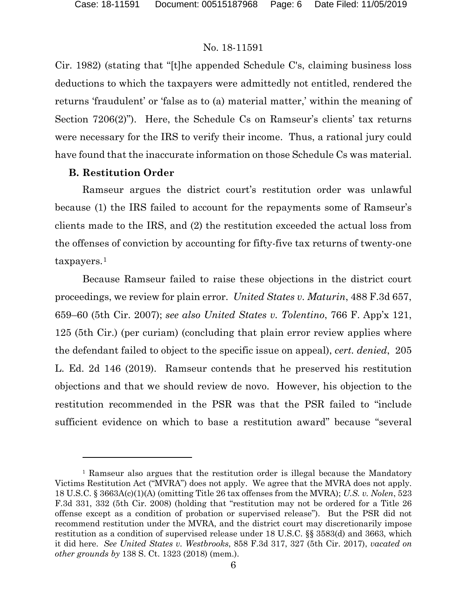Cir. 1982) (stating that "[t]he appended Schedule C's, claiming business loss deductions to which the taxpayers were admittedly not entitled, rendered the returns 'fraudulent' or 'false as to (a) material matter,' within the meaning of Section 7206(2)"). Here, the Schedule Cs on Ramseur's clients' tax returns were necessary for the IRS to verify their income. Thus, a rational jury could have found that the inaccurate information on those Schedule Cs was material.

### **B. Restitution Order**

l

Ramseur argues the district court's restitution order was unlawful because (1) the IRS failed to account for the repayments some of Ramseur's clients made to the IRS, and (2) the restitution exceeded the actual loss from the offenses of conviction by accounting for fifty-five tax returns of twenty-one taxpayers.[1](#page-5-0)

Because Ramseur failed to raise these objections in the district court proceedings, we review for plain error. *United States v. Maturin*, 488 F.3d 657, 659–60 (5th Cir. 2007); *see also United States v. Tolentino*, 766 F. App'x 121, 125 (5th Cir.) (per curiam) (concluding that plain error review applies where the defendant failed to object to the specific issue on appeal), *cert. denied*, 205 L. Ed. 2d 146 (2019). Ramseur contends that he preserved his restitution objections and that we should review de novo. However, his objection to the restitution recommended in the PSR was that the PSR failed to "include sufficient evidence on which to base a restitution award" because "several

<span id="page-5-0"></span><sup>&</sup>lt;sup>1</sup> Ramseur also argues that the restitution order is illegal because the Mandatory Victims Restitution Act ("MVRA") does not apply. We agree that the MVRA does not apply. 18 U.S.C. § 3663A(c)(1)(A) (omitting Title 26 tax offenses from the MVRA); *U.S. v. Nolen*, 523 F.3d 331, 332 (5th Cir. 2008) (holding that "restitution may not be ordered for a Title 26 offense except as a condition of probation or supervised release"). But the PSR did not recommend restitution under the MVRA, and the district court may discretionarily impose restitution as a condition of supervised release under 18 U.S.C. §§ 3583(d) and 3663, which it did here. *See United States v. Westbrooks*, 858 F.3d 317, 327 (5th Cir. 2017), *vacated on other grounds by* 138 S. Ct. 1323 (2018) (mem.).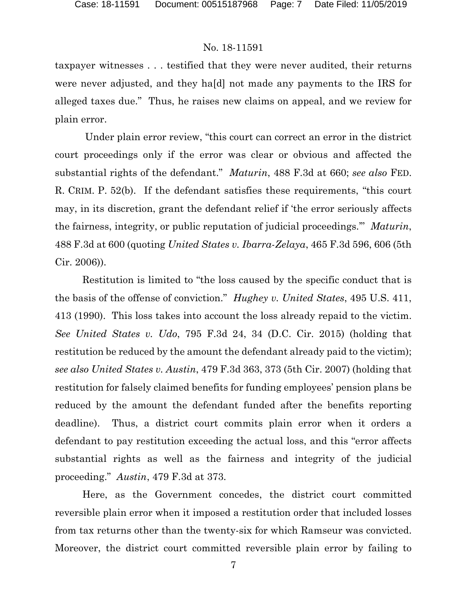taxpayer witnesses . . . testified that they were never audited, their returns were never adjusted, and they ha[d] not made any payments to the IRS for alleged taxes due." Thus, he raises new claims on appeal, and we review for plain error.

Under plain error review, "this court can correct an error in the district court proceedings only if the error was clear or obvious and affected the substantial rights of the defendant." *Maturin*, 488 F.3d at 660; *see also* FED. R. CRIM. P. 52(b). If the defendant satisfies these requirements, "this court may, in its discretion, grant the defendant relief if 'the error seriously affects the fairness, integrity, or public reputation of judicial proceedings.'" *Maturin*, 488 F.3d at 600 (quoting *United States v. Ibarra-Zelaya*, 465 F.3d 596, 606 (5th Cir. 2006)).

Restitution is limited to "the loss caused by the specific conduct that is the basis of the offense of conviction." *Hughey v. United States*, 495 U.S. 411, 413 (1990). This loss takes into account the loss already repaid to the victim. *See United States v. Udo*, 795 F.3d 24, 34 (D.C. Cir. 2015) (holding that restitution be reduced by the amount the defendant already paid to the victim); *see also United States v. Austin*, 479 F.3d 363, 373 (5th Cir. 2007) (holding that restitution for falsely claimed benefits for funding employees' pension plans be reduced by the amount the defendant funded after the benefits reporting deadline). Thus, a district court commits plain error when it orders a defendant to pay restitution exceeding the actual loss, and this "error affects substantial rights as well as the fairness and integrity of the judicial proceeding." *Austin*, 479 F.3d at 373.

Here, as the Government concedes, the district court committed reversible plain error when it imposed a restitution order that included losses from tax returns other than the twenty-six for which Ramseur was convicted. Moreover, the district court committed reversible plain error by failing to

7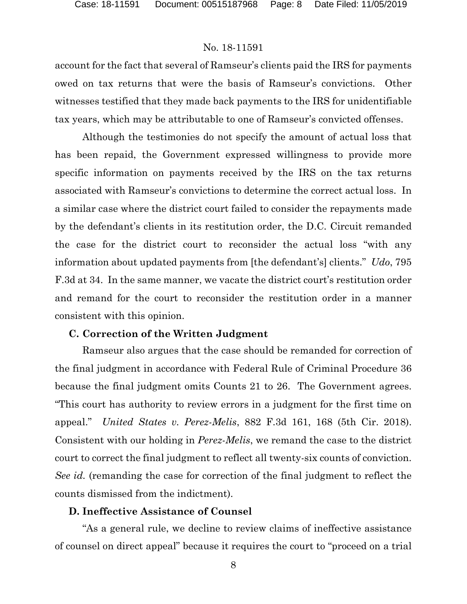account for the fact that several of Ramseur's clients paid the IRS for payments owed on tax returns that were the basis of Ramseur's convictions. Other witnesses testified that they made back payments to the IRS for unidentifiable tax years, which may be attributable to one of Ramseur's convicted offenses.

Although the testimonies do not specify the amount of actual loss that has been repaid, the Government expressed willingness to provide more specific information on payments received by the IRS on the tax returns associated with Ramseur's convictions to determine the correct actual loss. In a similar case where the district court failed to consider the repayments made by the defendant's clients in its restitution order, the D.C. Circuit remanded the case for the district court to reconsider the actual loss "with any information about updated payments from [the defendant's] clients." *Udo*, 795 F.3d at 34. In the same manner, we vacate the district court's restitution order and remand for the court to reconsider the restitution order in a manner consistent with this opinion.

### **C. Correction of the Written Judgment**

Ramseur also argues that the case should be remanded for correction of the final judgment in accordance with Federal Rule of Criminal Procedure 36 because the final judgment omits Counts 21 to 26. The Government agrees. "This court has authority to review errors in a judgment for the first time on appeal." *United States v. Perez-Melis*, 882 F.3d 161, 168 (5th Cir. 2018). Consistent with our holding in *Perez-Melis*, we remand the case to the district court to correct the final judgment to reflect all twenty-six counts of conviction. *See id.* (remanding the case for correction of the final judgment to reflect the counts dismissed from the indictment).

## **D. Ineffective Assistance of Counsel**

"As a general rule, we decline to review claims of ineffective assistance of counsel on direct appeal" because it requires the court to "proceed on a trial